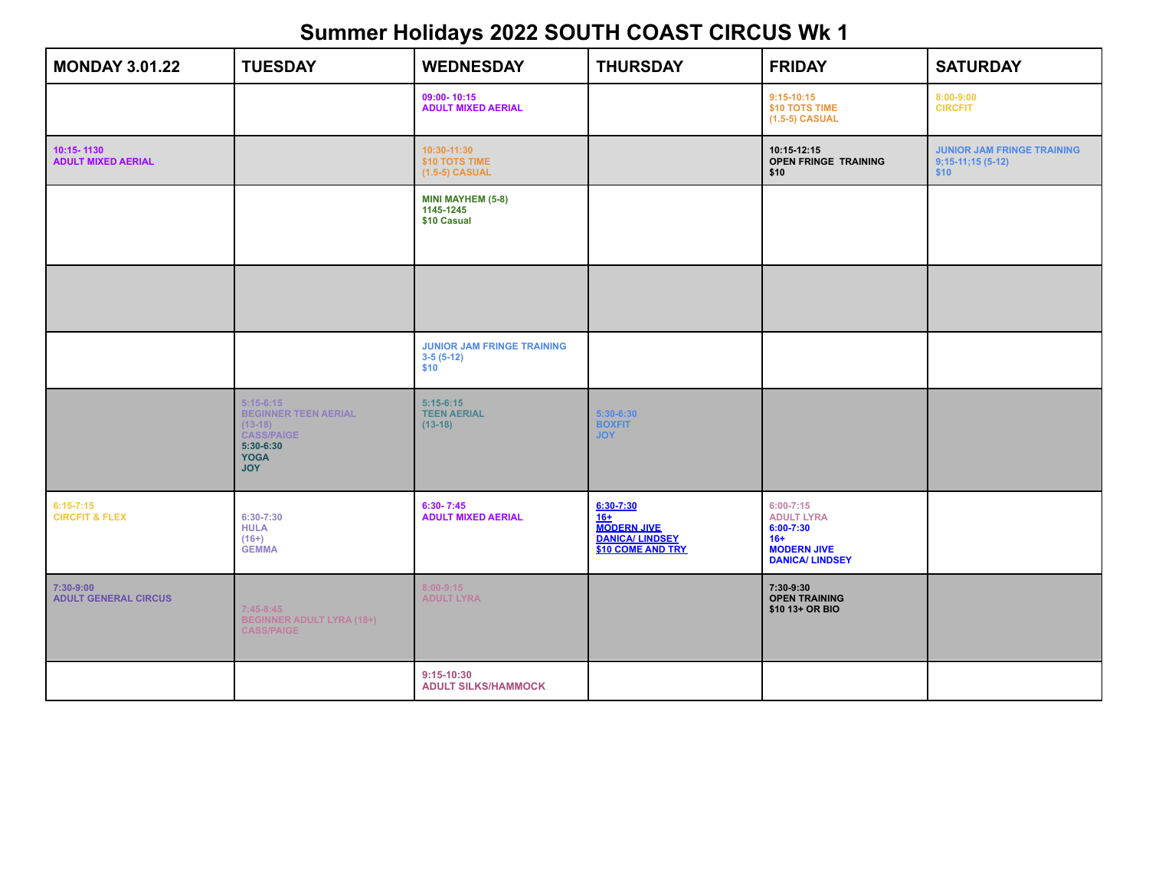| <b>MONDAY 3.01.22</b>                      | <b>TUESDAY</b>                                                                                                           | <b>WEDNESDAY</b>                                         | <b>THURSDAY</b>                                                                         | <b>FRIDAY</b>                                                                                              | <b>SATURDAY</b>                                                 |
|--------------------------------------------|--------------------------------------------------------------------------------------------------------------------------|----------------------------------------------------------|-----------------------------------------------------------------------------------------|------------------------------------------------------------------------------------------------------------|-----------------------------------------------------------------|
|                                            |                                                                                                                          | 09:00-10:15<br><b>ADULT MIXED AERIAL</b>                 |                                                                                         | $9:15-10:15$<br>\$10 TOTS TIME<br>(1.5-5) CASUAL                                                           | 8:00-9:00<br><b>CIRCFIT</b>                                     |
| 10:15-1130<br><b>ADULT MIXED AERIAL</b>    |                                                                                                                          | 10:30-11:30<br>\$10 TOTS TIME<br>$(1.5-5)$ CASUAL        |                                                                                         | 10:15-12:15<br><b>OPEN FRINGE TRAINING</b><br>\$10                                                         | <b>JUNIOR JAM FRINGE TRAINING</b><br>$9;15-11;15(5-12)$<br>\$10 |
|                                            |                                                                                                                          | <b>MINI MAYHEM (5-8)</b><br>1145-1245<br>\$10 Casual     |                                                                                         |                                                                                                            |                                                                 |
|                                            |                                                                                                                          |                                                          |                                                                                         |                                                                                                            |                                                                 |
|                                            |                                                                                                                          | <b>JUNIOR JAM FRINGE TRAINING</b><br>$3-5(5-12)$<br>\$10 |                                                                                         |                                                                                                            |                                                                 |
|                                            | $5:15-6:15$<br><b>BEGINNER TEEN AERIAL</b><br>$(13-18)$<br><b>CASS/PAIGE</b><br>$5:30-6:30$<br><b>YOGA</b><br><b>JOY</b> | $5:15-6:15$<br><b>TEEN AERIAL</b><br>$(13-18)$           | $5:30-6:30$<br><b>BOXFIT</b><br><b>JOY</b>                                              |                                                                                                            |                                                                 |
| $6:15 - 7:15$<br><b>CIRCFIT &amp; FLEX</b> | $6:30-7:30$<br><b>HULA</b><br>$(16+)$<br><b>GEMMA</b>                                                                    | $6:30 - 7:45$<br><b>ADULT MIXED AERIAL</b>               | 6:30-7:30<br>$16+$<br><b>MODERN JIVE</b><br><b>DANICA/ LINDSEY</b><br>\$10 COME AND TRY | $6:00 - 7:15$<br><b>ADULT LYRA</b><br>$6:00-7:30$<br>$16+$<br><b>MODERN JIVE</b><br><b>DANICA/ LINDSEY</b> |                                                                 |
| 7:30-9:00<br><b>ADULT GENERAL CIRCUS</b>   | $7:45-8:45$<br><b>BEGINNER ADULT LYRA (18+)</b><br><b>CASS/PAIGE</b>                                                     | $8:00 - 9:15$<br><b>ADULT LYRA</b>                       |                                                                                         | 7:30-9:30<br><b>OPEN TRAINING</b><br>\$10 13+ OR BIO                                                       |                                                                 |
|                                            |                                                                                                                          | $9:15-10:30$<br><b>ADULT SILKS/HAMMOCK</b>               |                                                                                         |                                                                                                            |                                                                 |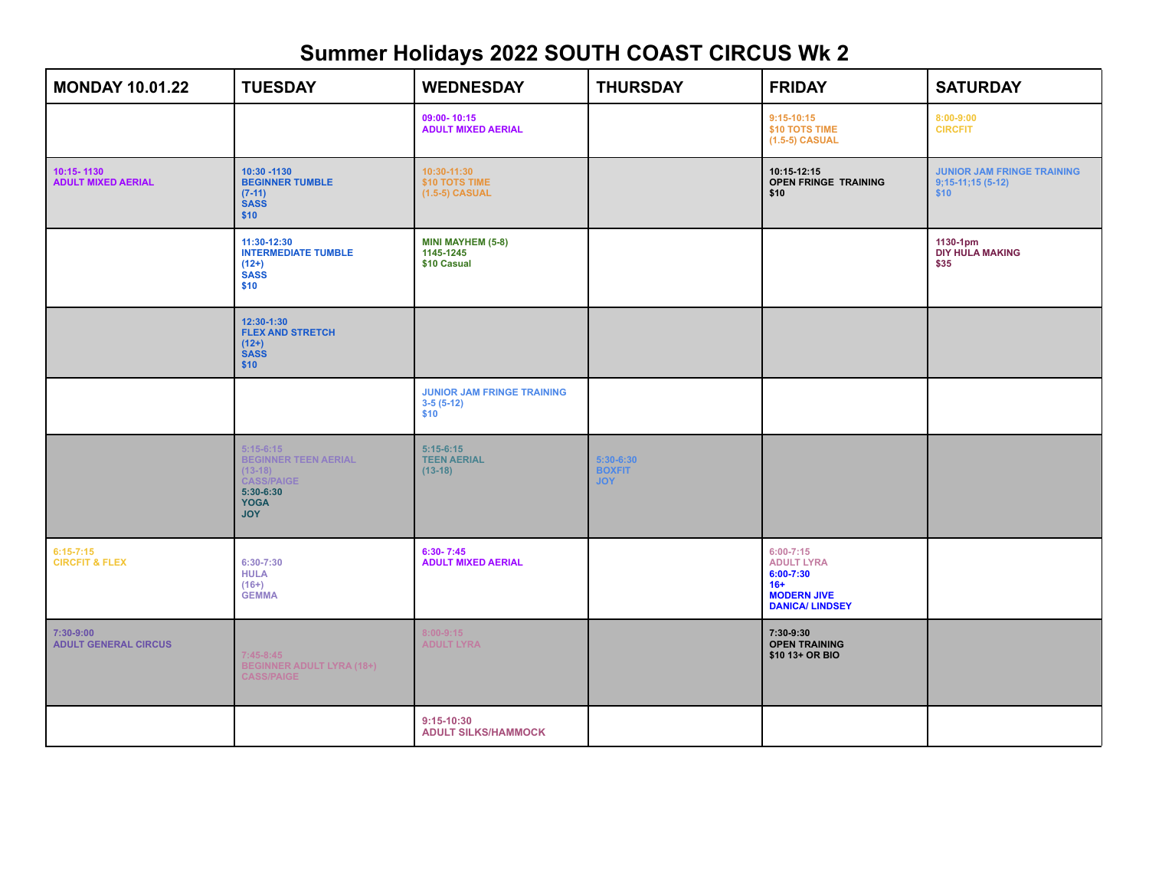| <b>MONDAY 10.01.22</b>                     | <b>TUESDAY</b>                                                                                                           | <b>WEDNESDAY</b>                                         | <b>THURSDAY</b>                            | <b>FRIDAY</b>                                                                                                | <b>SATURDAY</b>                                                 |
|--------------------------------------------|--------------------------------------------------------------------------------------------------------------------------|----------------------------------------------------------|--------------------------------------------|--------------------------------------------------------------------------------------------------------------|-----------------------------------------------------------------|
|                                            |                                                                                                                          | 09:00-10:15<br><b>ADULT MIXED AERIAL</b>                 |                                            | $9:15-10:15$<br>\$10 TOTS TIME<br>(1.5-5) CASUAL                                                             | 8:00-9:00<br><b>CIRCFIT</b>                                     |
| 10:15-1130<br><b>ADULT MIXED AERIAL</b>    | 10:30 - 1130<br><b>BEGINNER TUMBLE</b><br>$(7-11)$<br><b>SASS</b><br>\$10                                                | 10:30-11:30<br>\$10 TOTS TIME<br>$(1.5-5)$ CASUAL        |                                            | 10:15-12:15<br><b>OPEN FRINGE TRAINING</b><br>\$10                                                           | <b>JUNIOR JAM FRINGE TRAINING</b><br>$9;15-11;15(5-12)$<br>\$10 |
|                                            | 11:30-12:30<br><b>INTERMEDIATE TUMBLE</b><br>$(12+)$<br><b>SASS</b><br>\$10                                              | <b>MINI MAYHEM (5-8)</b><br>1145-1245<br>\$10 Casual     |                                            |                                                                                                              | 1130-1pm<br><b>DIY HULA MAKING</b><br>\$35                      |
|                                            | 12:30-1:30<br><b>FLEX AND STRETCH</b><br>$(12+)$<br><b>SASS</b><br>\$10                                                  |                                                          |                                            |                                                                                                              |                                                                 |
|                                            |                                                                                                                          | <b>JUNIOR JAM FRINGE TRAINING</b><br>$3-5(5-12)$<br>\$10 |                                            |                                                                                                              |                                                                 |
|                                            | $5:15-6:15$<br><b>BEGINNER TEEN AERIAL</b><br>$(13-18)$<br><b>CASS/PAIGE</b><br>$5:30-6:30$<br><b>YOGA</b><br><b>JOY</b> | $5:15-6:15$<br><b>TEEN AERIAL</b><br>$(13-18)$           | $5:30-6:30$<br><b>BOXFIT</b><br><b>JOY</b> |                                                                                                              |                                                                 |
| $6:15 - 7:15$<br><b>CIRCFIT &amp; FLEX</b> | $6:30-7:30$<br><b>HULA</b><br>$(16+)$<br><b>GEMMA</b>                                                                    | $6:30 - 7:45$<br><b>ADULT MIXED AERIAL</b>               |                                            | $6:00 - 7:15$<br><b>ADULT LYRA</b><br>$6:00 - 7:30$<br>$16+$<br><b>MODERN JIVE</b><br><b>DANICA/ LINDSEY</b> |                                                                 |
| $7:30-9:00$<br><b>ADULT GENERAL CIRCUS</b> | $7:45-8:45$<br><b>BEGINNER ADULT LYRA (18+)</b><br><b>CASS/PAIGE</b>                                                     | $8:00 - 9:15$<br><b>ADULT LYRA</b>                       |                                            | 7:30-9:30<br><b>OPEN TRAINING</b><br>\$10 13+ OR BIO                                                         |                                                                 |
|                                            |                                                                                                                          | $9:15-10:30$<br><b>ADULT SILKS/HAMMOCK</b>               |                                            |                                                                                                              |                                                                 |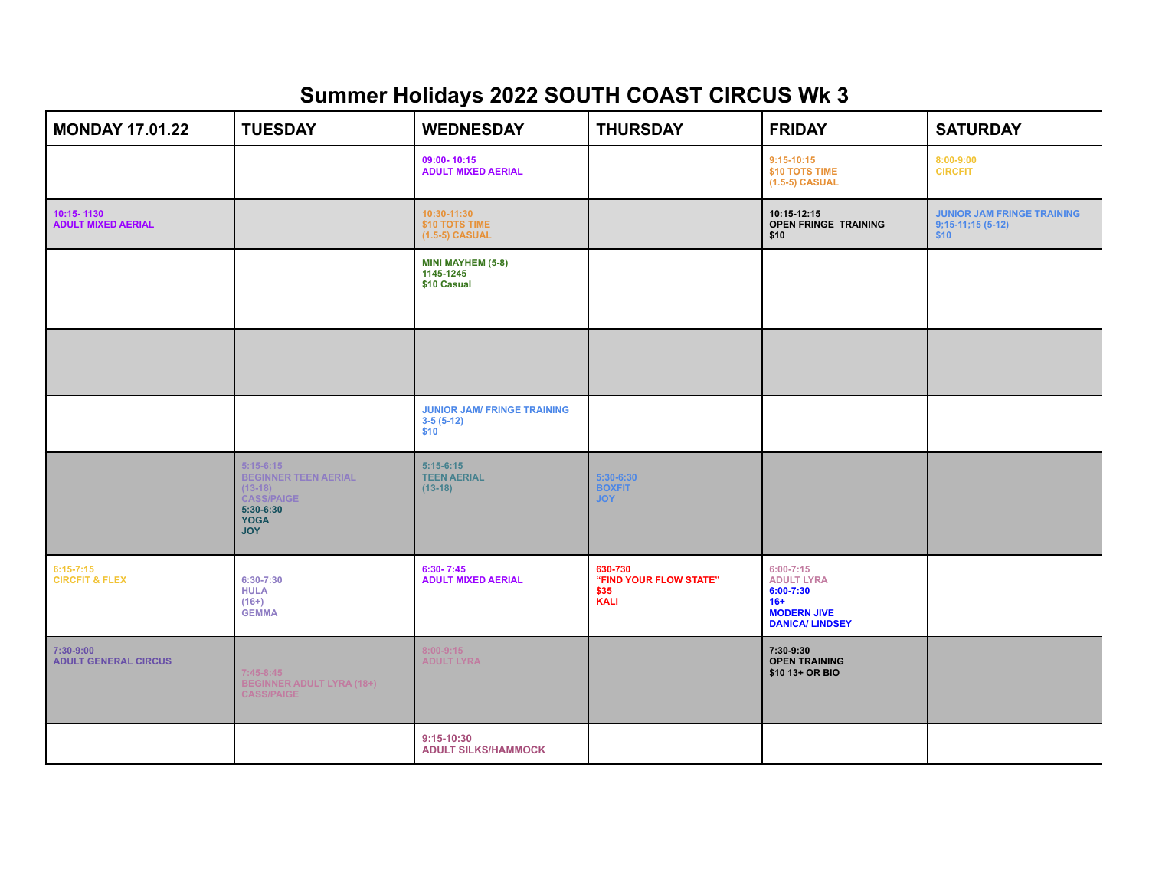| <b>MONDAY 17.01.22</b>                   | <b>TUESDAY</b>                                                                                                           | <b>WEDNESDAY</b>                                          | <b>THURSDAY</b>                                          | <b>FRIDAY</b>                                                                                                | <b>SATURDAY</b>                                                 |
|------------------------------------------|--------------------------------------------------------------------------------------------------------------------------|-----------------------------------------------------------|----------------------------------------------------------|--------------------------------------------------------------------------------------------------------------|-----------------------------------------------------------------|
|                                          |                                                                                                                          | 09:00-10:15<br><b>ADULT MIXED AERIAL</b>                  |                                                          | $9:15-10:15$<br>\$10 TOTS TIME<br>(1.5-5) CASUAL                                                             | $8:00 - 9:00$<br><b>CIRCFIT</b>                                 |
| 10:15-1130<br><b>ADULT MIXED AERIAL</b>  |                                                                                                                          | 10:30-11:30<br>\$10 TOTS TIME<br>$(1.5-5)$ CASUAL         |                                                          | 10:15-12:15<br><b>OPEN FRINGE TRAINING</b><br>\$10                                                           | <b>JUNIOR JAM FRINGE TRAINING</b><br>$9;15-11;15(5-12)$<br>\$10 |
|                                          |                                                                                                                          | <b>MINI MAYHEM (5-8)</b><br>1145-1245<br>\$10 Casual      |                                                          |                                                                                                              |                                                                 |
|                                          |                                                                                                                          |                                                           |                                                          |                                                                                                              |                                                                 |
|                                          |                                                                                                                          | <b>JUNIOR JAM/ FRINGE TRAINING</b><br>$3-5(5-12)$<br>\$10 |                                                          |                                                                                                              |                                                                 |
|                                          | $5:15-6:15$<br><b>BEGINNER TEEN AERIAL</b><br>$(13-18)$<br><b>CASS/PAIGE</b><br>$5:30-6:30$<br><b>YOGA</b><br><b>JOY</b> | $5:15-6:15$<br><b>TEEN AERIAL</b><br>$(13-18)$            | $5:30-6:30$<br><b>BOXFIT</b><br><b>JOY</b>               |                                                                                                              |                                                                 |
| $6:15-7:15$<br><b>CIRCFIT &amp; FLEX</b> | $6:30-7:30$<br><b>HULA</b><br>$(16+)$<br><b>GEMMA</b>                                                                    | $6:30 - 7:45$<br><b>ADULT MIXED AERIAL</b>                | 630-730<br>"FIND YOUR FLOW STATE"<br>\$35<br><b>KALI</b> | $6:00 - 7:15$<br><b>ADULT LYRA</b><br>$6:00 - 7:30$<br>$16+$<br><b>MODERN JIVE</b><br><b>DANICA/ LINDSEY</b> |                                                                 |
| 7:30-9:00<br><b>ADULT GENERAL CIRCUS</b> | $7:45-8:45$<br>BEGINNER ADULT LYRA (18+)<br><b>CASS/PAIGE</b>                                                            | $8:00 - 9:15$<br><b>ADULT LYRA</b>                        |                                                          | 7:30-9:30<br><b>OPEN TRAINING</b><br>\$10 13+ OR BIO                                                         |                                                                 |
|                                          |                                                                                                                          | $9:15-10:30$<br><b>ADULT SILKS/HAMMOCK</b>                |                                                          |                                                                                                              |                                                                 |